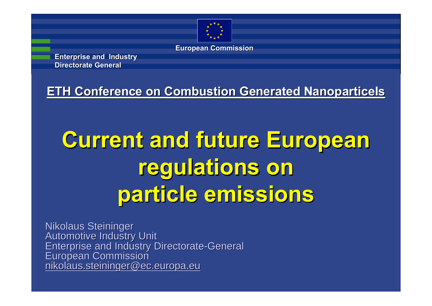

**European Commission**

**Enterprise and Industry Enterprise and Industry Directorate General Directorate General**

**ETH Conference on Combustion Generated Nanoparticels** 

## **Current and future European Current and future European regulations on regulations on particle emissions particle emissions**

Nikolaus Steininger Automotive Industry Unit<br>Enterprise and Industry Directorate-General<br>European Commission<br>[nikolaus.steininger@ec.europa.eu](mailto:nikolaus.steininger@ec.europa.eu)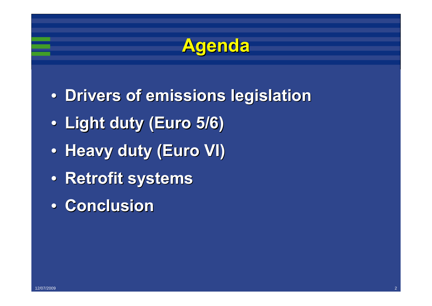

- **Drivers of emissions legislation**
- •**Light duty (Euro 5/6) Light duty (Euro 5/6)**
- **Heavy duty (Euro VI)**
- •**Retrofit Retrofit systems systems**
- •**Conclusion Conclusion**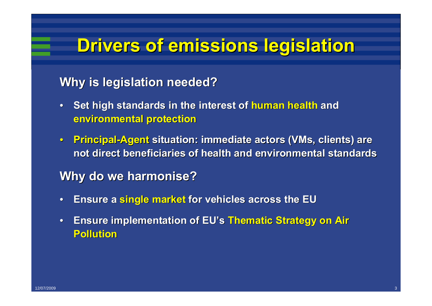#### **Drivers of emissions legislation Drivers of emissions legislation**

#### **Why is legislation needed? Why is legislation needed?**

- **•** Set high standards in the interest of human health and **environmental protection environmental protection**
- •**Principal Principal-Agent situation: immediate actors ( situation: immediate actors (VMs, clients) are , clients) are not direct beneficiaries of health and environmental standards**

#### **Why do we harmonise? Why do we harmonise?**

- •**Ensure a Ensure a single market single market for vehicles across the EU for vehicles across the EU**
- **Ensure implementation of EU's Thematic Strategy on Air Pollution Pollution**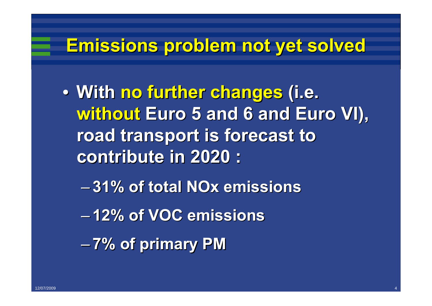#### **Emissions problem not yet solved Emissions problem not yet solved**

- •**With no further changes no further changes (i.e. without Euro 5 and 6 and Euro VI), road transport is forecast to road transport is forecast to contribute in 2020 : contribute in 2020 :**
	- –**31% of total NOx emissions 31% of total NOx emissions**
	- –**12% of VOC emissions 12% of VOC emissions**

–**7% of primary PM 7% of primary PM**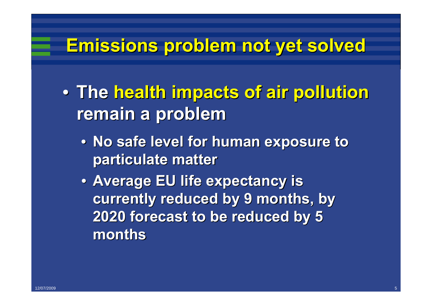#### **Emissions problem not yet solved Emissions problem not yet solved**

- •**The health impacts of air pollution health impacts of air pollution remain a problem remain a problem**
	- •**No safe level for human exposure to No safe level for human exposure to particulate matter particulate matter**
	- **Average EU life expectancy is** currently reduced by 9 months, by **2020 forecast to be reduced by 5 2020 forecast to be reduced by 5 months**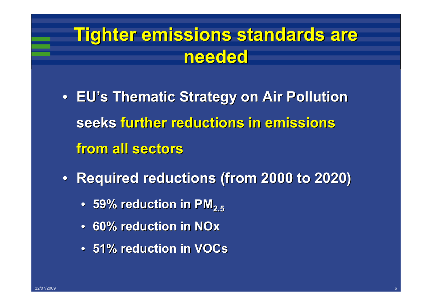## **Tighter emissions standards are needed**

- **EU's Thematic Strategy on Air Pollution seeks further reductions in emissions further reductions in emissions from all sectors from all sectors**
- **Required reductions (from 2000 to 2020)** 
	- •**59% reduction in PM 59% reduction in PM2.5**
	- •**60% reduction in NOx 60% reduction in NOx**
	- •**51% reduction in 51% reduction in VOCs**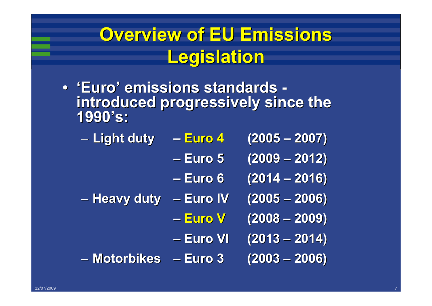## **Overview of EU Emissions Legislation Legislation**

- 'Euro' emissions standards **introduced progressively since the introduced progressively since the** 
	- –**Light duty Light duty – Euro 4 (2005 – 2007)**
		- **–Euro 5 (2009 – 2012)**
		- **–Euro 6 (2014 – 2016)**
	- –**Heavy duty Heavy duty – Euro IV Euro IV (2005 – 2006)**
		- **– Euro V(2008 – 2009)**
		- **–Euro VI Euro VI (2013 – 2014)**
	- –**Motorbikes Motorbikes– Euro 3 (2003 – 2006)**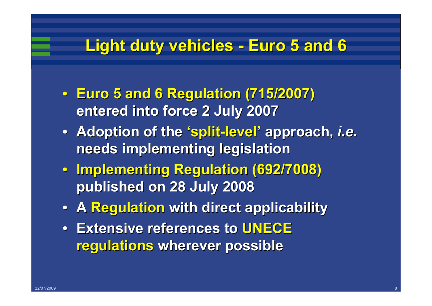#### **Light duty vehicles - Euro 5 and 6**

- •**Euro 5 and 6 Regulation (715/2007) Euro 5 and 6 Regulation (715/2007) entered into force 2 July 2007 entered into force 2 July 2007**
- **Adoption of the 'split-level' approach, i.e. needs implementing legislation needs implementing legislation**
- •**Implementing Regulation (692/7008) Implementing Regulation (692/7008) published on 28 July 2008 published on 28 July 2008**
- •**A Regulation Regulation with direct applicability with direct applicability**
- **Extensive references to UNECE regulations regulations wherever possible wherever possible**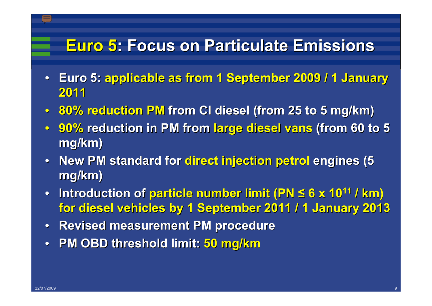#### **Euro 5: Focus on Particulate Emissions : Focus on Particulate Emissions**

- •**Euro 5: Euro 5: applicable as from 1 September 2009 / 1 January applicable as from 1 September 2009 / 1 January 2011**
- •**80% reduction PM 80% reduction PM from CI diesel (from 25 to 5 mg/km) from CI diesel (from 25 to 5 mg/km)**
- •**90% reduction in PM from reduction in PM from large diesel vans large diesel vans (from 60 to 5 (from 60 to 5 mg/km)**
- New PM standard for direct injection petrol engines (5 **mg/km)**
- •**Introduction of Introduction of particle number limit (PN particle number limit (PN ≤ 6 x 1011 / km) for diesel vehicles by 1 September 2011 / 1 January 2013 for diesel vehicles by 1 September 2011 / 1 January 2013**
- **Revised measurement PM procedure**
- **PM OBD threshold limit: 50 mg/km**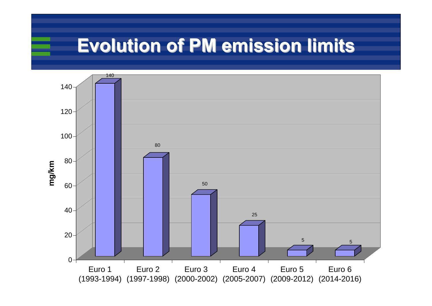## **Evolution of PM emission limits Evolution of PM emission limits**

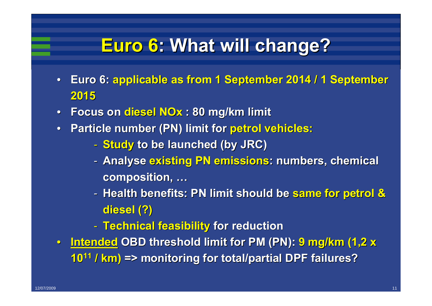### **Euro 6: What will change? : What will change?**

- •**Euro 6: Euro 6: applicable as from 1 September 2014 / 1 September applicable as from 1 September 2014 / 1 September 2015**
- •**Focus on Focus on diesel NOx : 80 mg/km limit : 80 mg/km limit**
- **Particle number (PN) limit for petrol vehicles:** 
	- -**Study to be launched (by JRC) to be launched (by JRC)**
	- **Analyse existing PN emissions: numbers, chemical** composition, ...
	- **Health benefits: PN limit should be same for petrol & diesel (?) diesel (?)**
	- -**Technical feasibility Technical feasibility for reduction for reduction**
- •**Intended Intended OBD threshold limit for PM (PN): OBD threshold limit for PM (PN): 9 mg/km (1,2 x 9 mg/km (1,2 x <sup>10</sup><sup>11</sup> / km) => monitoring for total/partial DPF failures? => monitoring for total/partial DPF failures?**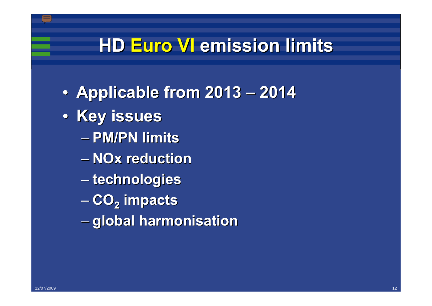#### **HD Euro VI Euro VI emission limits emission limits**

- •**Applicable from 2013 Applicable from 2013 – 2014**
- **Key issues** 
	- $-$  PM/PN limits
	- –**NOx reduction reduction**
	- –**technologies technologies**
	- –**CO2 impacts impacts**
	- –**global harmonisation global harmonisation**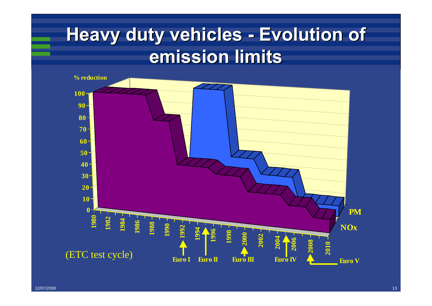#### **Heavy duty vehicles - Evolution of emission limits emission limits**

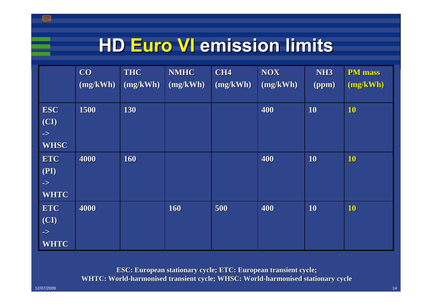### **HD Euro VI Euro VI emission limits emission limits**

|               | CO       | <b>THC</b> | <b>NMHC</b> | <b>CH4</b> | <b>NOX</b> | NH <sub>3</sub> | <b>PM</b> mass |
|---------------|----------|------------|-------------|------------|------------|-----------------|----------------|
|               | (mg/kWh) | (mg/kWh)   | (mg/kWh)    | (mg/kWh)   | (mg/kWh)   | (ppm)           | (mg/kWh)       |
|               |          |            |             |            |            |                 |                |
| <b>ESC</b>    | 1500     | 130        |             |            | 400        | 10              | 10             |
| (CI)          |          |            |             |            |            |                 |                |
| $\Rightarrow$ |          |            |             |            |            |                 |                |
| <b>WHSC</b>   |          |            |             |            |            |                 |                |
| <b>ETC</b>    | 4000     | 160        |             |            | 400        | 10              | 10             |
| (PI)          |          |            |             |            |            |                 |                |
| $\Rightarrow$ |          |            |             |            |            |                 |                |
| <b>WHTC</b>   |          |            |             |            |            |                 |                |
| <b>ETC</b>    | 4000     |            | 160         | 500        | 400        | 10              | <b>10</b>      |
| (CI)          |          |            |             |            |            |                 |                |
| $\Rightarrow$ |          |            |             |            |            |                 |                |
| <b>WHTC</b>   |          |            |             |            |            |                 |                |

**ESC: European ESC: European stationary stationary cycle; ETC: cycle; ETC: European transient cycle; European cycle; WHTC: World WHTC: World-harmonised transient cycle; WHSC: World harmonised transient cycle; WHSC: World-harmonised stationary cycle harmonised stationary cycle**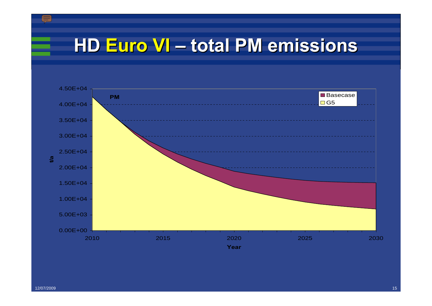#### **HD Euro VI Euro VI – total PM emissions total PM emissions**

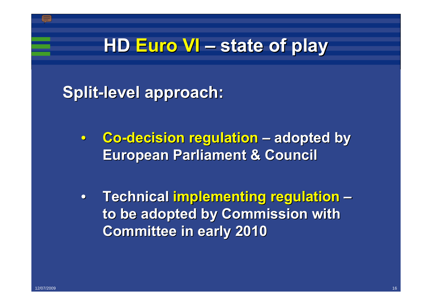#### **HD Euro VI Euro VI – state of play state of play**

**Split-level approach:** 

- **Co-decision regulation** adopted by **European Parliament & Council European Parliament & Council**
- •**Technical Technical implementing regulation implementing regulation – to be adopted by Commission with to be adopted by Commission with Committee in early 2010 Committee in early 2010**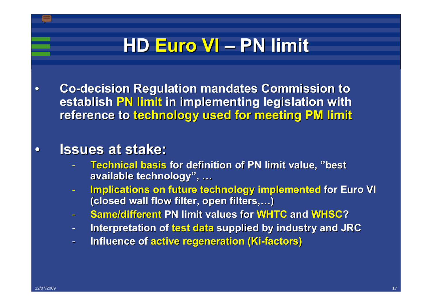## **HD Euro VI Euro VI – PN limit PN limit**

•**Co-decision Regulation mandates Commission to decision Regulation mandates Commission to establish PN limit in implementing legislation with reference to technology used for meeting PM limit** 

#### •**Issues at stake: Issues at stake:**

- -**Technical basis Technical basis for definition of PN limit value, for definition of PN limit value, "best available technology available technology", …**
- -**Implications on future technology implemented Implications on future technology implemented for Euro VI for Euro VI (closed wall flow filter, open filters, (closed wall flow filter, open filters,…)**
- -**Same/different Same/different PN limit values for PN limit values for WHTC and WHSC?**
- -**Interpretation of Interpretation of test data test data supplied by industry and JRC supplied by industry and JRC**
- **Figure 1.15 Influence of active regeneration (Ki-factors)**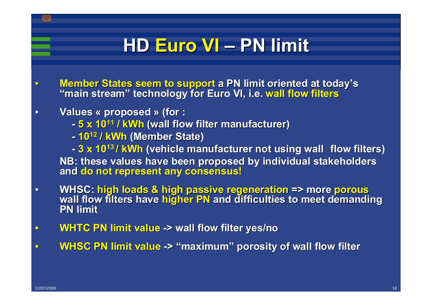## **HD Euro VI Euro VI – PN limit PN limit**

- Member States seem to support a PN limit oriented at today's<br>"main stream" technology for Euro VI, i.e. wall flow filters
- •**Values « proposed proposed » (for :**
	- **- 5 x 1011 / kWh (wall flow filter manufacturer) (wall flow filter manufacturer)**
	- **-1012 / kWh (Member State) (Member State)**

- **3 x 10<sup>13</sup> / kWh (vehicle manufacturer not using wall flow filters)**  $\overline{\phantom{a}}$ **NB: these values have been proposed by individual stakeholders and do not represent any consensus! do not represent any consensus!**

- WHSC: high loads & high passive regeneration => more porous<br>wall flow filters have higher PN and difficulties to meet demanding **PN limit**
- •**WHTC PN limit value WHTC PN limit value -> wall flow filter yes/no > wall flow filter yes/no**
- •**WHSC PN limit value WHSC PN limit value -> "maximum" porosity of wall flow filter porosity of wall flow filter**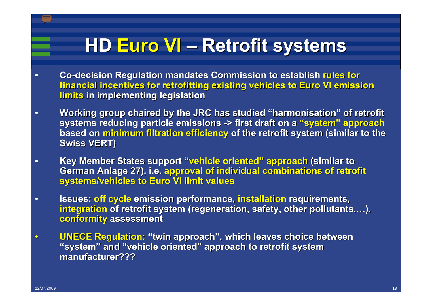#### **HD Euro VI Euro VI – Retrofit systems Retrofit systems**

- **Co-decision Regulation mandates Commission to establish rules for rules for financial incentives for retrofitting existing vehicles to Euro VI emission limits in implementing legislation in implementing legislation**
- •**Working group chaired by the JRC has studied Working group chaired by the JRC has studied "harmonisation harmonisation" of retrofit of retrofit systems reducing particle emissions -> first draft on a "system" approach based on minimum filtration efficiency of the retrofit system (similar to the Swiss VERT) Swiss VERT)**
- •**Key Member States support Key Member States support "vehicle oriented vehicle oriented" approach approach (similar to (similar to German Anlage 27), i.e. approval of individual combinations of retrofit systems/vehicles to Euro VI limit values systems/vehicles to Euro VI limit values**
- **•** Issues: off cycle emission performance, installation requirements, **integration** of retrofit system (regeneration, safety, other pollutants,...), **conformity** assessment
- **UNECE Regulation: "twin approach", which leaves choice between**  $\blacksquare$ **"system"** and "vehicle oriented" approach to retrofit system **manufacturer??? manufacturer???**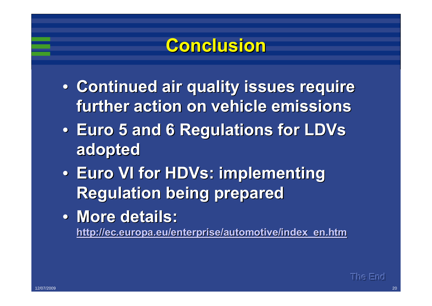#### **Conclusion Conclusion**

- **Continued air quality issues require further action on vehicle emissions further action on vehicle emissions**
- •**Euro 5 and 6 Regulations for Euro 5 and 6 Regulations for LDVs adopted adopted**
- •**Euro VI for Euro VI for HDVs: implementing : implementing Regulation being prepared Regulation being prepared**
- •**More details: More details: [http://](http://ec.europa.eu/enterprise/automotive/index_en.htm) http:/[/ec.europa.eu/enterprise/automotive/index\\_en.htm](http://ec.europa.eu/enterprise/automotive/index_en.htm)**